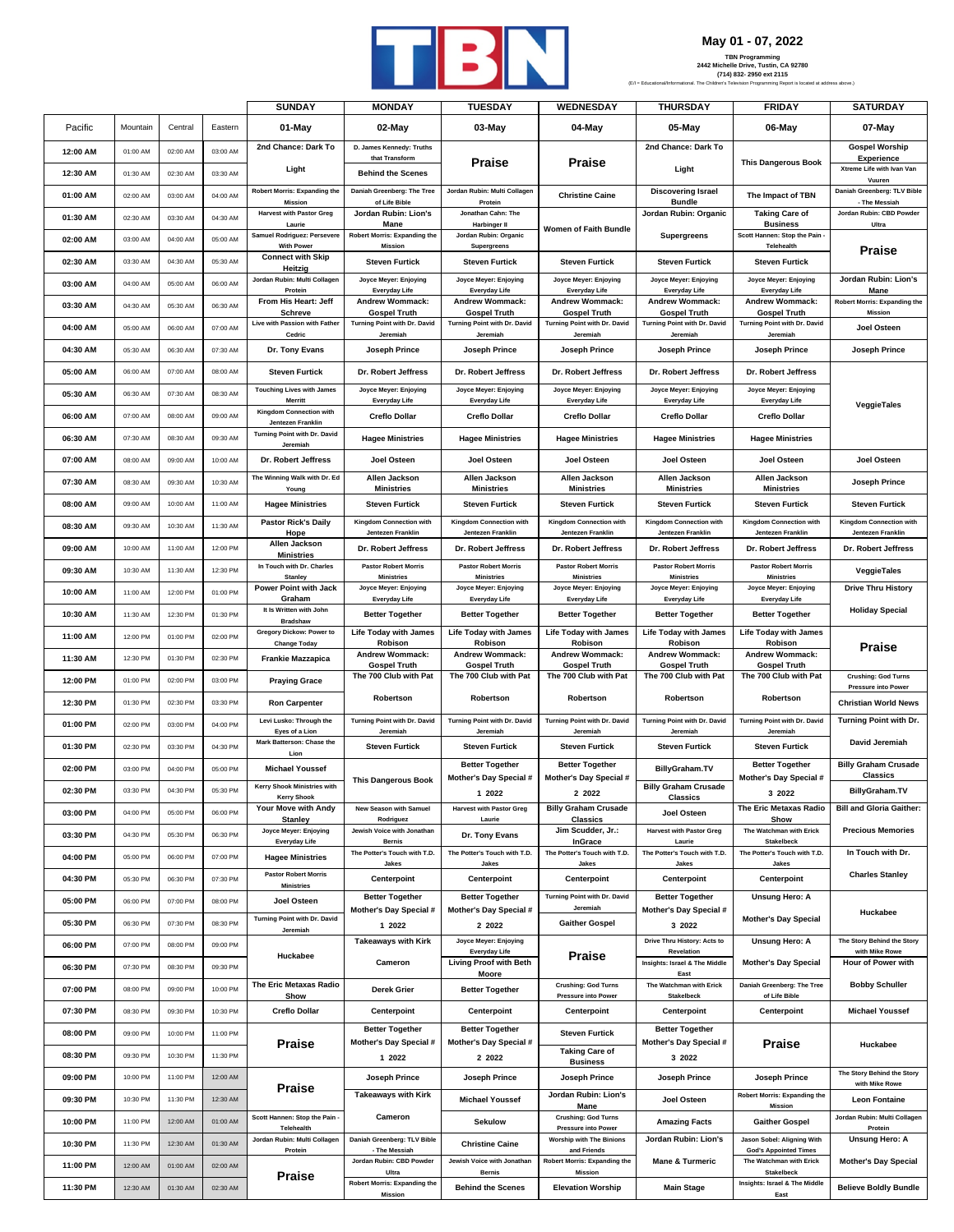

## **May 01 - 07, 2022**

|          |          |          |          | <b>SUNDAY</b>                                             | <b>MONDAY</b>                                       | <b>TUESDAY</b>                                      | <b>WEDNESDAY</b>                                      | <b>THURSDAY</b>                                            | <b>FRIDAY</b>                                              | <b>SATURDAY</b>                                          |
|----------|----------|----------|----------|-----------------------------------------------------------|-----------------------------------------------------|-----------------------------------------------------|-------------------------------------------------------|------------------------------------------------------------|------------------------------------------------------------|----------------------------------------------------------|
| Pacific  | Mountain | Central  | Eastern  | 01-May                                                    | 02-May                                              | 03-May                                              | 04-May                                                | 05-May                                                     | 06-May                                                     | 07-May                                                   |
| 12:00 AM | 01:00 AM | 02:00 AM | 03:00 AM | 2nd Chance: Dark To                                       | D. James Kennedy: Truths<br>that Transform          |                                                     |                                                       | 2nd Chance: Dark To                                        |                                                            | <b>Gospel Worship</b>                                    |
| 12:30 AM | 01:30 AM | 02:30 AM | 03:30 AM | Light                                                     | <b>Behind the Scenes</b>                            | <b>Praise</b>                                       | <b>Praise</b>                                         | Light                                                      | <b>This Dangerous Book</b>                                 | <b>Experience</b><br>Xtreme Life with Ivan Van           |
| 01:00 AM | 02:00 AM | 03:00 AM | 04:00 AM | <b>Robert Morris: Expanding the</b>                       | Daniah Greenberg: The Tree                          | Jordan Rubin: Multi Collagen                        | <b>Christine Caine</b>                                | <b>Discovering Israel</b>                                  | The Impact of TBN                                          | Vuuren<br>Daniah Greenberg: TLV Bible                    |
| 01:30 AM | 02:30 AM | 03:30 AM | 04:30 AM | <b>Mission</b><br><b>Harvest with Pastor Greg</b>         | of Life Bible<br>Jordan Rubin: Lion's               | Protein<br>Jonathan Cahn: The                       |                                                       | <b>Bundle</b><br>Jordan Rubin: Organic                     | <b>Taking Care of</b>                                      | - The Messiah<br>Jordan Rubin: CBD Powder                |
| 02:00 AM | 03:00 AM | 04:00 AM | 05:00 AM | Laurie<br>Samuel Rodriguez: Persevere                     | Mane<br><b>Robert Morris: Expanding the</b>         | <b>Harbinger II</b><br>Jordan Rubin: Organic        | Women of Faith Bundle                                 | <b>Supergreens</b>                                         | <b>Business</b><br>Scott Hannen: Stop the Pain             | Ultra                                                    |
| 02:30 AM | 03:30 AM | 04:30 AM | 05:30 AM | <b>With Power</b><br><b>Connect with Skip</b>             | Mission<br><b>Steven Furtick</b>                    | Supergreens<br><b>Steven Furtick</b>                | <b>Steven Furtick</b>                                 | <b>Steven Furtick</b>                                      | Telehealth<br><b>Steven Furtick</b>                        | <b>Praise</b>                                            |
| 03:00 AM | 04:00 AM | 05:00 AM | 06:00 AM | Heitzig<br>Jordan Rubin: Multi Collagen                   | Joyce Meyer: Enjoying                               | Joyce Meyer: Enjoying                               | Joyce Meyer: Enjoying                                 | Joyce Meyer: Enjoying                                      | Joyce Meyer: Enjoying                                      | Jordan Rubin: Lion's                                     |
| 03:30 AM | 04:30 AM | 05:30 AM | 06:30 AM | Protein<br>From His Heart: Jeff                           | Everyday Life<br><b>Andrew Wommack:</b>             | <b>Everyday Life</b><br><b>Andrew Wommack:</b>      | Everyday Life<br><b>Andrew Wommack:</b>               | Everyday Life<br><b>Andrew Wommack:</b>                    | <b>Everyday Life</b><br><b>Andrew Wommack:</b>             | Mane<br><b>Robert Morris: Expanding the</b>              |
|          | 05:00 AM | 06:00 AM | 07:00 AM | <b>Schreve</b><br>Live with Passion with Father           | <b>Gospel Truth</b><br>Turning Point with Dr. David | <b>Gospel Truth</b><br>Turning Point with Dr. David | <b>Gospel Truth</b><br>Turning Point with Dr. David   | <b>Gospel Truth</b><br>Turning Point with Dr. David        | <b>Gospel Truth</b><br>Turning Point with Dr. David        | Mission                                                  |
| 04:00 AM |          |          |          | Cedric                                                    | Jeremiah                                            | Jeremiah                                            | Jeremiah                                              | Jeremiah                                                   | Jeremiah                                                   | Joel Osteen                                              |
| 04:30 AM | 05:30 AM | 06:30 AM | 07:30 AM | Dr. Tony Evans                                            | Joseph Prince                                       | Joseph Prince                                       | Joseph Prince                                         | Joseph Prince                                              | Joseph Prince                                              | Joseph Prince                                            |
| 05:00 AM | 06:00 AM | 07:00 AM | 08:00 AM | <b>Steven Furtick</b><br><b>Touching Lives with James</b> | Dr. Robert Jeffress<br>Joyce Meyer: Enjoying        | Dr. Robert Jeffress<br>Joyce Meyer: Enjoying        | Dr. Robert Jeffress<br>Joyce Meyer: Enjoying          | Dr. Robert Jeffress<br>Joyce Meyer: Enjoying               | Dr. Robert Jeffress<br>Joyce Meyer: Enjoying               |                                                          |
| 05:30 AM | 06:30 AM | 07:30 AM | 08:30 AM | Merritt<br><b>Kingdom Connection with</b>                 | Everyday Life                                       | <b>Everyday Life</b>                                | <b>Everyday Life</b>                                  | Everyday Life                                              | Everyday Life                                              | VeggieTales                                              |
| 06:00 AM | 07:00 AM | 08:00 AM | 09:00 AM | Jentezen Franklin                                         | <b>Creflo Dollar</b>                                | <b>Creflo Dollar</b>                                | <b>Creflo Dollar</b>                                  | <b>Creflo Dollar</b>                                       | <b>Creflo Dollar</b>                                       |                                                          |
| 06:30 AM | 07:30 AM | 08:30 AM | 09:30 AM | Turning Point with Dr. David<br>Jeremiah                  | <b>Hagee Ministries</b>                             | <b>Hagee Ministries</b>                             | <b>Hagee Ministries</b>                               | <b>Hagee Ministries</b>                                    | <b>Hagee Ministries</b>                                    |                                                          |
| 07:00 AM | 08:00 AM | 09:00 AM | 10:00 AM | Dr. Robert Jeffress                                       | <b>Joel Osteen</b>                                  | <b>Joel Osteen</b>                                  | Joel Osteen                                           | Joel Osteen                                                | Joel Osteen                                                | <b>Joel Osteen</b>                                       |
| 07:30 AM | 08:30 AM | 09:30 AM | 10:30 AM | The Winning Walk with Dr. Ed<br>Young                     | Allen Jackson<br><b>Ministries</b>                  | Allen Jackson<br><b>Ministries</b>                  | Allen Jackson<br><b>Ministries</b>                    | Allen Jackson<br><b>Ministries</b>                         | Allen Jackson<br><b>Ministries</b>                         | <b>Joseph Prince</b>                                     |
| 08:00 AM | 09:00 AM | 10:00 AM | 11:00 AM | <b>Hagee Ministries</b>                                   | <b>Steven Furtick</b>                               | <b>Steven Furtick</b>                               | <b>Steven Furtick</b>                                 | <b>Steven Furtick</b>                                      | <b>Steven Furtick</b>                                      | <b>Steven Furtick</b>                                    |
| 08:30 AM | 09:30 AM | 10:30 AM | 11:30 AM | <b>Pastor Rick's Daily</b><br>Hope                        | Kingdom Connection with<br>Jentezen Franklin        | Kingdom Connection with<br>Jentezen Franklin        | Kingdom Connection with<br>Jentezen Franklin          | <b>Kingdom Connection with</b><br><b>Jentezen Franklin</b> | Kingdom Connection with<br>Jentezen Franklin               | Kingdom Connection with<br>Jentezen Franklin             |
| 09:00 AM | 10:00 AM | 11:00 AM | 12:00 PM | Allen Jackson<br><b>Ministries</b>                        | Dr. Robert Jeffress                                 | Dr. Robert Jeffress                                 | Dr. Robert Jeffress                                   | Dr. Robert Jeffress                                        | Dr. Robert Jeffress                                        | Dr. Robert Jeffress                                      |
| 09:30 AM | 10:30 AM | 11:30 AM | 12:30 PM | In Touch with Dr. Charles<br><b>Stanley</b>               | <b>Pastor Robert Morris</b><br><b>Ministries</b>    | <b>Pastor Robert Morris</b><br><b>Ministries</b>    | <b>Pastor Robert Morris</b><br><b>Ministries</b>      | <b>Pastor Robert Morris</b><br><b>Ministries</b>           | <b>Pastor Robert Morris</b><br><b>Ministries</b>           | VeggieTales                                              |
| 10:00 AM | 11:00 AM | 12:00 PM | 01:00 PM | Power Point with Jack<br>Graham                           | Joyce Meyer: Enjoying<br>Everyday Life              | Joyce Meyer: Enjoying<br><b>Everyday Life</b>       | Joyce Meyer: Enjoying<br>Everyday Life                | Joyce Meyer: Enjoying<br>Everyday Life                     | Joyce Meyer: Enjoying<br>Everyday Life                     | <b>Drive Thru History</b>                                |
| 10:30 AM | 11:30 AM | 12:30 PM | 01:30 PM | It Is Written with John<br><b>Bradshaw</b>                | <b>Better Together</b>                              | <b>Better Together</b>                              | <b>Better Together</b>                                | <b>Better Together</b>                                     | <b>Better Together</b>                                     | <b>Holiday Special</b>                                   |
| 11:00 AM | 12:00 PM | 01:00 PM | 02:00 PM | Gregory Dickow: Power to<br><b>Change Today</b>           | <b>Life Today with James</b><br>Robison             | <b>Life Today with James</b><br>Robison             | <b>Life Today with James</b><br>Robison               | <b>Life Today with James</b><br>Robison                    | <b>Life Today with James</b><br>Robison                    |                                                          |
| 11:30 AM | 12:30 PM | 01:30 PM | 02:30 PM | <b>Frankie Mazzapica</b>                                  | <b>Andrew Wommack:</b><br><b>Gospel Truth</b>       | Andrew Wommack:<br><b>Gospel Truth</b>              | <b>Andrew Wommack:</b><br><b>Gospel Truth</b>         | <b>Andrew Wommack:</b><br><b>Gospel Truth</b>              | <b>Andrew Wommack:</b><br><b>Gospel Truth</b>              | <b>Praise</b>                                            |
| 12:00 PM | 01:00 PM | 02:00 PM | 03:00 PM | <b>Praying Grace</b>                                      | The 700 Club with Pat                               | The 700 Club with Pat                               | The 700 Club with Pat                                 | The 700 Club with Pat                                      | The 700 Club with Pat                                      | <b>Crushing: God Turns</b><br><b>Pressure into Power</b> |
| 12:30 PM | 01:30 PM | 02:30 PM | 03:30 PM | <b>Ron Carpenter</b>                                      | Robertson                                           | Robertson                                           | Robertson                                             | Robertson                                                  | Robertson                                                  | <b>Christian World News</b>                              |
| 01:00 PM | 02:00 PM | 03:00 PM | 04:00 PM | Levi Lusko: Through the<br>Eyes of a Lion                 | Turning Point with Dr. David<br>Jeremiah            | Turning Point with Dr. David<br>Jeremiah            | Turning Point with Dr. David<br>Jeremiah              | Turning Point with Dr. David<br>Jeremiał                   | <b>Turning Point with Dr. David</b><br>Jeremiah            | Turning Point with Dr.                                   |
| 01:30 PM | 02:30 PM | 03:30 PM | 04:30 PM | Mark Batterson: Chase the<br>Lion                         | <b>Steven Furtick</b>                               | <b>Steven Furtick</b>                               | <b>Steven Furtick</b>                                 | <b>Steven Furtick</b>                                      | <b>Steven Furtick</b>                                      | David Jeremiah                                           |
| 02:00 PM | 03:00 PM | 04:00 PM | 05:00 PM | <b>Michael Youssef</b>                                    |                                                     | <b>Better Together</b>                              | <b>Better Together</b>                                | BillyGraham.TV                                             | <b>Better Together</b>                                     | <b>Billy Graham Crusade</b><br><b>Classics</b>           |
| 02:30 PM | 03:30 PM | 04:30 PM | 05:30 PM | Kerry Shook Ministries with                               | <b>This Dangerous Book</b>                          | Mother's Day Special #<br>1 2022                    | Mother's Day Special #<br>2 2022                      | <b>Billy Graham Crusade</b>                                | Mother's Day Special #<br>3 2022                           | <b>BillyGraham.TV</b>                                    |
| 03:00 PM | 04:00 PM | 05:00 PM | 06:00 PM | <b>Kerry Shook</b><br>Your Move with Andy                 | New Season with Samuel                              | <b>Harvest with Pastor Greg</b>                     | <b>Billy Graham Crusade</b>                           | Classics<br>Joel Osteen                                    | The Eric Metaxas Radio                                     | <b>Bill and Gloria Gaither:</b>                          |
| 03:30 PM | 04:30 PM | 05:30 PM | 06:30 PM | Stanley<br>Joyce Meyer: Enjoying                          | Rodriguez<br>Jewish Voice with Jonathan             | Laurie<br>Dr. Tony Evans                            | <b>Classics</b><br>Jim Scudder, Jr.:                  | <b>Harvest with Pastor Greg</b>                            | Show<br>The Watchman with Erick                            | <b>Precious Memories</b>                                 |
| 04:00 PM | 05:00 PM | 06:00 PM | 07:00 PM | <b>Everyday Life</b><br><b>Hagee Ministries</b>           | <b>Bernis</b><br>The Potter's Touch with T.D.       | The Potter's Touch with T.D.                        | InGrace<br>The Potter's Touch with T.D.               | Laurie<br>The Potter's Touch with T.D.                     | Stakelbeck<br>The Potter's Touch with T.D                  | In Touch with Dr.                                        |
| 04:30 PM | 05:30 PM | 06:30 PM | 07:30 PM | <b>Pastor Robert Morris</b>                               | Jakes<br>Centerpoint                                | Jakes<br>Centerpoint                                | Jakes<br><b>Centerpoint</b>                           | Jakes<br>Centerpoint                                       | Jakes<br>Centerpoint                                       | <b>Charles Stanley</b>                                   |
| 05:00 PM | 06:00 PM | 07:00 PM | 08:00 PM | <b>Ministries</b><br>Joel Osteen                          | <b>Better Together</b>                              | <b>Better Together</b>                              | Turning Point with Dr. David                          | <b>Better Together</b>                                     | <b>Unsung Hero: A</b>                                      |                                                          |
| 05:30 PM | 06:30 PM | 07:30 PM | 08:30 PM | Turning Point with Dr. David                              | Mother's Day Special #<br>1 2022                    | Mother's Day Special #<br>2 2022                    | Jeremiah<br><b>Gaither Gospel</b>                     | Mother's Day Special #<br>3 2022                           | <b>Mother's Day Special</b>                                | Huckabee                                                 |
| 06:00 PM | 07:00 PM | 08:00 PM | 09:00 PM | Jeremiah                                                  | <b>Takeaways with Kirk</b>                          | Joyce Meyer: Enjoying                               |                                                       | Drive Thru History: Acts to                                | <b>Unsung Hero: A</b>                                      | The Story Behind the Story                               |
| 06:30 PM | 07:30 PM | 08:30 PM | 09:30 PM | Huckabee                                                  | Cameron                                             | Everyday Life<br><b>Living Proof with Beth</b>      | Praise                                                | Revelation<br>Insights: Israel & The Middle                | <b>Mother's Day Special</b>                                | with Mike Rowe<br>Hour of Power with                     |
| 07:00 PM | 08:00 PM | 09:00 PM | 10:00 PM | The Eric Metaxas Radio                                    |                                                     | Moore                                               | <b>Crushing: God Turns</b>                            | East<br>The Watchman with Erick                            | Daniah Greenberg: The Tree                                 | <b>Bobby Schuller</b>                                    |
| 07:30 PM | 08:30 PM | 09:30 PM | 10:30 PM | Show                                                      | Derek Grier                                         | <b>Better Together</b>                              | Pressure into Power                                   | Stakelbeck                                                 | of Life Bible                                              | <b>Michael Youssef</b>                                   |
|          |          |          |          | <b>Creflo Dollar</b>                                      | Centerpoint<br><b>Better Together</b>               | Centerpoint<br><b>Better Together</b>               | Centerpoint                                           | Centerpoint<br><b>Better Together</b>                      | Centerpoint                                                |                                                          |
| 08:00 PM | 09:00 PM | 10:00 PM | 11:00 PM | <b>Praise</b>                                             | Mother's Day Special #                              | Mother's Day Special #                              | <b>Steven Furtick</b><br><b>Taking Care of</b>        | Mother's Day Special #                                     | <b>Praise</b>                                              | Huckabee                                                 |
| 08:30 PM | 09:30 PM | 10:30 PM | 11:30 PM |                                                           | 1 2022                                              | 2 2022                                              | <b>Business</b>                                       | 3 2022                                                     |                                                            | The Story Behind the Story                               |
| 09:00 PM | 10:00 PM | 11:00 PM | 12:00 AM | Praise                                                    | Joseph Prince<br><b>Takeaways with Kirk</b>         | Joseph Prince                                       | Joseph Prince<br>Jordan Rubin: Lion's                 | Joseph Prince                                              | Joseph Prince<br><b>Robert Morris: Expanding the</b>       | with Mike Rowe                                           |
| 09:30 PM | 10:30 PM | 11:30 PM | 12:30 AM |                                                           |                                                     | <b>Michael Youssef</b>                              | Mane                                                  | Joel Osteen                                                | Mission                                                    | <b>Leon Fontaine</b><br>Jordan Rubin: Multi Collagen     |
| 10:00 PM | 11:00 PM | 12:00 AM | 01:00 AM | Scott Hannen: Stop the Pain -<br>Telehealth               | Cameron                                             | Sekulow                                             | <b>Crushing: God Turns</b><br>Pressure into Power     | <b>Amazing Facts</b>                                       | <b>Gaither Gospel</b>                                      | Protein                                                  |
| 10:30 PM | 11:30 PM | 12:30 AM | 01:30 AM | Jordan Rubin: Multi Collagen<br>Protein                   | Daniah Greenberg: TLV Bible<br>- The Messiah        | <b>Christine Caine</b>                              | <b>Worship with The Binions</b><br>and Friends        | Jordan Rubin: Lion's                                       | Jason Sobel: Aligning With<br><b>God's Appointed Times</b> | <b>Unsung Hero: A</b>                                    |
| 11:00 PM | 12:00 AM | 01:00 AM | 02:00 AM | Praise                                                    | Jordan Rubin: CBD Powder<br>Ultra                   | Jewish Voice with Jonathan<br><b>Bernis</b>         | <b>Robert Morris: Expanding the</b><br><b>Mission</b> | <b>Mane &amp; Turmeric</b>                                 | The Watchman with Erick<br>Stakelbeck                      | <b>Mother's Day Special</b>                              |
| 11:30 PM | 12:30 AM | 01:30 AM | 02:30 AM |                                                           | <b>Robert Morris: Expanding the</b><br>Mission      | <b>Behind the Scenes</b>                            | <b>Elevation Worship</b>                              | <b>Main Stage</b>                                          | Insights: Israel & The Middle<br>East                      | <b>Believe Boldly Bundle</b>                             |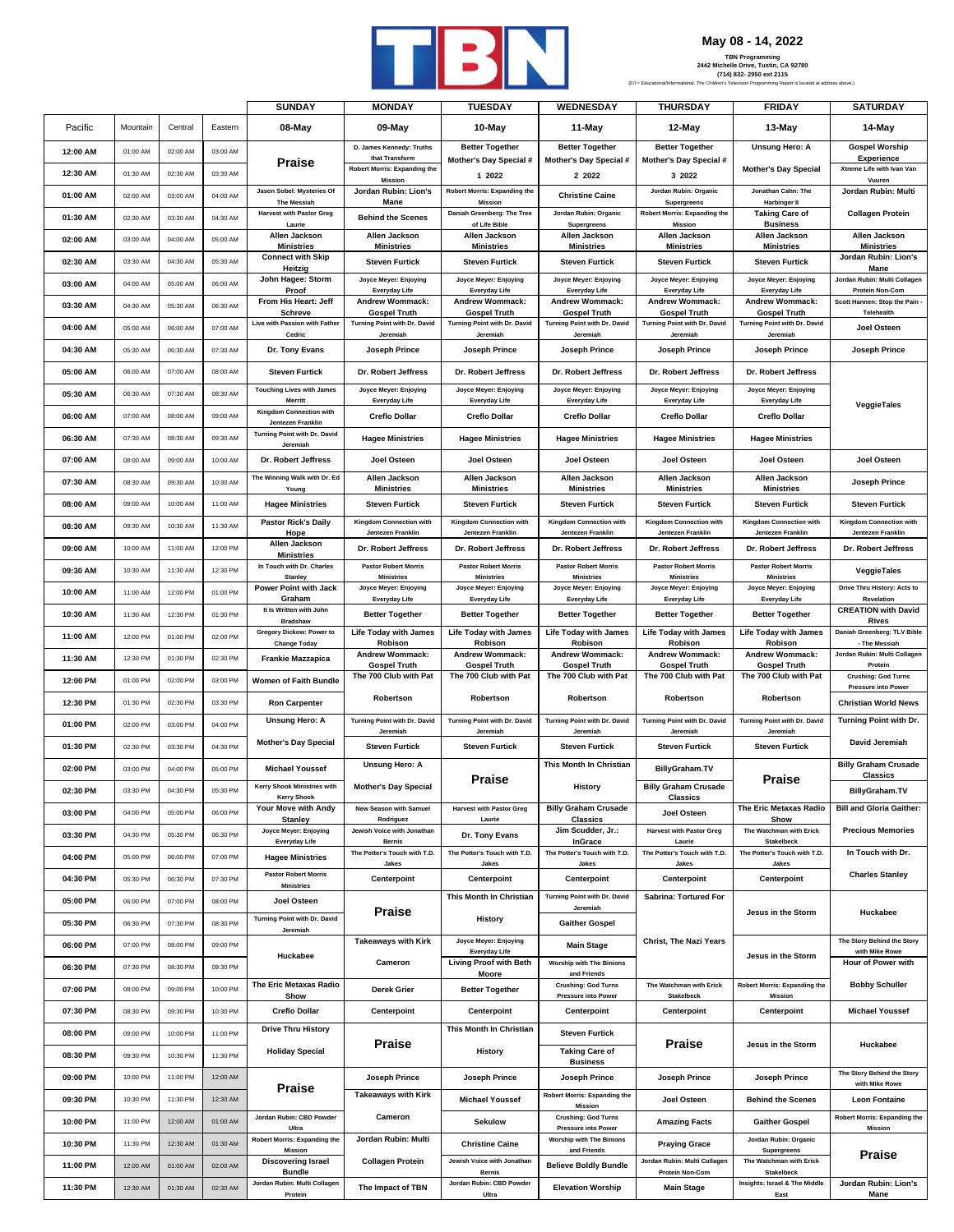

**May 08 - 14, 2022**

|          |          |          |          | <b>SUNDAY</b>                                                | <b>MONDAY</b>                                         | <b>TUESDAY</b>                                      | <b>WEDNESDAY</b>                                       | <b>THURSDAY</b>                                      | <b>FRIDAY</b>                                              | <b>SATURDAY</b>                                           |
|----------|----------|----------|----------|--------------------------------------------------------------|-------------------------------------------------------|-----------------------------------------------------|--------------------------------------------------------|------------------------------------------------------|------------------------------------------------------------|-----------------------------------------------------------|
| Pacific  | Mountain | Central  | Eastern  | 08-May                                                       | 09-May                                                | 10-May                                              | 11-May                                                 | 12-May                                               | 13-May                                                     | 14-May                                                    |
| 12:00 AM | 01:00 AM | 02:00 AM | 03:00 AM |                                                              | D. James Kennedy: Truths                              | <b>Better Together</b>                              | <b>Better Together</b>                                 | <b>Better Together</b>                               | <b>Unsung Hero: A</b>                                      | <b>Gospel Worship</b>                                     |
| 12:30 AM | 01:30 AM | 02:30 AM | 03:30 AM | <b>Praise</b>                                                | that Transform<br><b>Robert Morris: Expanding the</b> | Mother's Day Special #<br>1 2022                    | Mother's Day Special #<br>2 2022                       | Mother's Day Special #<br>3 2022                     | <b>Mother's Day Special</b>                                | <b>Experience</b><br>Xtreme Life with Ivan Van            |
| 01:00 AM | 02:00 AM | 03:00 AM | 04:00 AM | Jason Sobel: Mysteries Of                                    | Mission<br>Jordan Rubin: Lion's                       | Robert Morris: Expanding the                        | <b>Christine Caine</b>                                 | Jordan Rubin: Organic                                | Jonathan Cahn: The                                         | Vuuren<br>Jordan Rubin: Multi                             |
| 01:30 AM | 02:30 AM | 03:30 AM | 04:30 AM | The Messiah<br><b>Harvest with Pastor Greg</b>               | Mane<br><b>Behind the Scenes</b>                      | <b>Mission</b><br>Daniah Greenberg: The Tree        | Jordan Rubin: Organic                                  | Supergreens<br><b>Robert Morris: Expanding the</b>   | Harbinger II<br><b>Taking Care of</b>                      | <b>Collagen Protein</b>                                   |
| 02:00 AM | 03:00 AM | 04:00 AM | 05:00 AM | Laurie<br>Allen Jackson                                      | Allen Jackson                                         | of Life Bible<br>Allen Jackson                      | Supergreens<br>Allen Jackson                           | Mission<br>Allen Jackson                             | <b>Business</b><br>Allen Jackson                           | Allen Jackson                                             |
| 02:30 AM | 03:30 AM | 04:30 AM | 05:30 AM | <b>Ministries</b><br><b>Connect with Skip</b>                | <b>Ministries</b><br><b>Steven Furtick</b>            | <b>Ministries</b><br><b>Steven Furtick</b>          | <b>Ministries</b><br><b>Steven Furtick</b>             | <b>Ministries</b><br><b>Steven Furtick</b>           | <b>Ministries</b><br><b>Steven Furtick</b>                 | <b>Ministries</b><br>Jordan Rubin: Lion's                 |
|          |          |          |          | Heitzig<br>John Hagee: Storm                                 | Joyce Meyer: Enjoying                                 | Joyce Meyer: Enjoying                               | Joyce Meyer: Enjoying                                  | Joyce Meyer: Enjoying                                | Joyce Meyer: Enjoying                                      | Mane<br>Jordan Rubin: Multi Collagen                      |
| 03:00 AM | 04:00 AM | 05:00 AM | 06:00 AM | Proof<br>From His Heart: Jeff                                | Everyday Life<br><b>Andrew Wommack:</b>               | Everyday Life<br><b>Andrew Wommack:</b>             | Everyday Life<br><b>Andrew Wommack:</b>                | Everyday Life<br><b>Andrew Wommack:</b>              | Everyday Life<br><b>Andrew Wommack:</b>                    | <b>Protein Non-Com</b><br>Scott Hannen: Stop the Pain     |
| 03:30 AM | 04:30 AM | 05:30 AM | 06:30 AM | <b>Schreve</b><br>Live with Passion with Father              | <b>Gospel Truth</b><br>Turning Point with Dr. David   | <b>Gospel Truth</b><br>Turning Point with Dr. David | <b>Gospel Truth</b><br>Turning Point with Dr. David    | <b>Gospel Truth</b><br>Turning Point with Dr. David  | <b>Gospel Truth</b><br>Turning Point with Dr. David        | Telehealth                                                |
| 04:00 AM | 05:00 AM | 06:00 AM | 07:00 AM | Cedric                                                       | Jeremiah                                              | Jeremiah                                            | Jeremiah                                               | Jeremiah                                             | Jeremiah                                                   | Joel Osteen                                               |
| 04:30 AM | 05:30 AM | 06:30 AM | 07:30 AM | Dr. Tony Evans                                               | Joseph Prince                                         | Joseph Prince                                       | Joseph Prince                                          | Joseph Prince                                        | Joseph Prince                                              | <b>Joseph Prince</b>                                      |
| 05:00 AM | 06:00 AM | 07:00 AM | 08:00 AM | <b>Steven Furtick</b>                                        | Dr. Robert Jeffress                                   | Dr. Robert Jeffress                                 | Dr. Robert Jeffress                                    | Dr. Robert Jeffress                                  | Dr. Robert Jeffress                                        |                                                           |
| 05:30 AM | 06:30 AM | 07:30 AM | 08:30 AM | <b>Touching Lives with James</b><br>Merritt                  | Joyce Meyer: Enjoying<br><b>Everyday Life</b>         | Joyce Meyer: Enjoying<br>Everyday Life              | Joyce Meyer: Enjoying<br><b>Everyday Life</b>          | Joyce Meyer: Enjoying<br>Everyday Life               | Joyce Meyer: Enjoying<br>Everyday Life                     | VeggieTales                                               |
| 06:00 AM | 07:00 AM | 08:00 AM | 09:00 AM | <b>Kingdom Connection with</b><br>Jentezen Franklin          | <b>Creflo Dollar</b>                                  | <b>Creflo Dollar</b>                                | <b>Creflo Dollar</b>                                   | <b>Creflo Dollar</b>                                 | <b>Creflo Dollar</b>                                       |                                                           |
| 06:30 AM | 07:30 AM | 08:30 AM | 09:30 AM | Turning Point with Dr. David<br>Jeremiah                     | <b>Hagee Ministries</b>                               | <b>Hagee Ministries</b>                             | <b>Hagee Ministries</b>                                | <b>Hagee Ministries</b>                              | <b>Hagee Ministries</b>                                    |                                                           |
| 07:00 AM | 08:00 AM | 09:00 AM | 10:00 AM | Dr. Robert Jeffress                                          | <b>Joel Osteen</b>                                    | <b>Joel Osteen</b>                                  | <b>Joel Osteen</b>                                     | Joel Osteen                                          | Joel Osteen                                                | Joel Osteen                                               |
| 07:30 AM | 08:30 AM | 09:30 AM | 10:30 AM | The Winning Walk with Dr. Ed<br>Young                        | Allen Jackson<br><b>Ministries</b>                    | Allen Jackson<br><b>Ministries</b>                  | Allen Jackson<br><b>Ministries</b>                     | Allen Jackson<br><b>Ministries</b>                   | Allen Jackson<br><b>Ministries</b>                         | Joseph Prince                                             |
| 08:00 AM | 09:00 AM | 10:00 AM | 11:00 AM | <b>Hagee Ministries</b>                                      | <b>Steven Furtick</b>                                 | <b>Steven Furtick</b>                               | <b>Steven Furtick</b>                                  | <b>Steven Furtick</b>                                | <b>Steven Furtick</b>                                      | <b>Steven Furtick</b>                                     |
| 08:30 AM | 09:30 AM | 10:30 AM | 11:30 AM | <b>Pastor Rick's Daily</b><br><b>Hope</b>                    | <b>Kingdom Connection with</b><br>Jentezen Franklin   | Kingdom Connection with<br><b>Jentezen Franklin</b> | Kingdom Connection with<br><b>Jentezen Franklin</b>    | Kingdom Connection with<br><b>Jentezen Franklin</b>  | <b>Kingdom Connection with</b><br><b>Jentezen Franklin</b> | Kingdom Connection with<br><b>Jentezen Franklin</b>       |
| 09:00 AM | 10:00 AM | 11:00 AM | 12:00 PM | Allen Jackson                                                | Dr. Robert Jeffress                                   | Dr. Robert Jeffress                                 | Dr. Robert Jeffress                                    | Dr. Robert Jeffress                                  | Dr. Robert Jeffress                                        | Dr. Robert Jeffress                                       |
| 09:30 AM | 10:30 AM | 11:30 AM | 12:30 PM | <b>Ministries</b><br>In Touch with Dr. Charles               | <b>Pastor Robert Morris</b>                           | <b>Pastor Robert Morris</b>                         | <b>Pastor Robert Morris</b>                            | <b>Pastor Robert Morris</b>                          | <b>Pastor Robert Morris</b>                                | VeggieTales                                               |
| 10:00 AM | 11:00 AM | 12:00 PM | 01:00 PM | <b>Stanley</b><br>Power Point with Jack                      | <b>Ministries</b><br>Joyce Meyer: Enjoying            | <b>Ministries</b><br>Joyce Meyer: Enjoying          | <b>Ministries</b><br>Joyce Meyer: Enjoying             | <b>Ministries</b><br>Joyce Meyer: Enjoying           | <b>Ministries</b><br>Joyce Meyer: Enjoying                 | Drive Thru History: Acts to                               |
| 10:30 AM | 11:30 AM | 12:30 PM | 01:30 PM | Graham<br>It Is Written with John                            | Everyday Life<br><b>Better Together</b>               | Everyday Life<br><b>Better Together</b>             | Everyday Life<br><b>Better Together</b>                | Everyday Life<br><b>Better Together</b>              | Everyday Life<br><b>Better Together</b>                    | Revelation<br><b>CREATION with David</b>                  |
| 11:00 AM | 12:00 PM | 01:00 PM | 02:00 PM | <b>Bradshaw</b><br>Gregory Dickow: Power to                  | <b>Life Today with James</b>                          | <b>Life Today with James</b>                        | <b>Life Today with James</b>                           | <b>Life Today with James</b>                         | <b>Life Today with James</b>                               | Rives<br>Daniah Greenberg: TLV Bible                      |
| 11:30 AM | 12:30 PM | 01:30 PM | 02:30 PM | <b>Change Today</b><br><b>Frankie Mazzapica</b>              | Robison<br><b>Andrew Wommack:</b>                     | Robison<br><b>Andrew Wommack:</b>                   | Robison<br><b>Andrew Wommack:</b>                      | Robison<br><b>Andrew Wommack:</b>                    | Robison<br><b>Andrew Wommack:</b>                          | - The Messiah<br>Jordan Rubin: Multi Collagen             |
| 12:00 PM | 01:00 PM | 02:00 PM | 03:00 PM | Women of Faith Bundle                                        | <b>Gospel Truth</b><br>The 700 Club with Pat          | <b>Gospel Truth</b><br>The 700 Club with Pat        | <b>Gospel Truth</b><br>The 700 Club with Pat           | <b>Gospel Truth</b><br>The 700 Club with Pat         | <b>Gospel Truth</b><br>The 700 Club with Pat               | Protein<br><b>Crushing: God Turns</b>                     |
| 12:30 PM | 01:30 PM | 02:30 PM | 03:30 PM | <b>Ron Carpenter</b>                                         | Robertson                                             | Robertson                                           | Robertson                                              | Robertson                                            | Robertson                                                  | <b>Pressure into Power</b><br><b>Christian World News</b> |
| 01:00 PM | 02:00 PM | 03:00 PM | 04:00 PM | <b>Unsung Hero: A</b>                                        | Turning Point with Dr. David                          | Turning Point with Dr. David                        | Turning Point with Dr. David                           | Turning Point with Dr. David                         | Turning Point with Dr. David                               | Turning Point with Dr.                                    |
|          |          |          |          | <b>Mother's Day Special</b>                                  | Jeremiał                                              | Jeremiah                                            | Jeremial                                               | Jeremiah                                             | Jeremiah                                                   | David Jeremiah                                            |
| 01:30 PM | 02:30 PM | 03:30 PM | 04:30 PM |                                                              | <b>Steven Furtick</b><br><b>Unsung Hero: A</b>        | <b>Steven Furtick</b>                               | <b>Steven Furtick</b><br>This Month In Christian       | <b>Steven Furtick</b>                                | <b>Steven Furtick</b>                                      | <b>Billy Graham Crusade</b>                               |
| 02:00 PM | 03:00 PM | 04:00 PM | 05:00 PM | <b>Michael Youssef</b><br><b>Kerry Shook Ministries with</b> | <b>Mother's Day Special</b>                           | <b>Praise</b>                                       | History                                                | <b>BillyGraham.TV</b><br><b>Billy Graham Crusade</b> | <b>Praise</b>                                              | <b>Classics</b>                                           |
| 02:30 PM | 03:30 PM | 04:30 PM | 05:30 PM | <b>Kerry Shook</b><br>Your Move with Andy                    | New Season with Samuel                                | <b>Harvest with Pastor Greg</b>                     | <b>Billy Graham Crusade</b>                            | Classics                                             | The Eric Metaxas Radio                                     | BillyGraham.TV<br><b>Bill and Gloria Gaither:</b>         |
| 03:00 PM | 04:00 PM | 05:00 PM | 06:00 PM | Stanley<br>Joyce Meyer: Enjoying                             | Rodriguez<br>Jewish Voice with Jonathan               | Laurie                                              | <b>Classics</b>                                        | Joel Osteen                                          | Show<br>The Watchman with Erick                            |                                                           |
| 03:30 PM | 04:30 PM | 05:30 PM | 06:30 PM | Everyday Life                                                | <b>Bernis</b>                                         | Dr. Tony Evans                                      | Jim Scudder, Jr.:<br>InGrace                           | <b>Harvest with Pastor Greg</b><br>Laurie            | Stakelbeck                                                 | <b>Precious Memories</b>                                  |
| 04:00 PM | 05:00 PM | 06:00 PM | 07:00 PM | <b>Hagee Ministries</b>                                      | The Potter's Touch with T.D.<br>Jakes                 | The Potter's Touch with T.D.<br>Jakes               | The Potter's Touch with T.D.<br>Jakes                  | The Potter's Touch with T.D.<br>Jakes                | The Potter's Touch with T.D.<br>Jakes                      | In Touch with Dr.                                         |
| 04:30 PM | 05:30 PM | 06:30 PM | 07:30 PM | <b>Pastor Robert Morris</b><br><b>Ministries</b>             | <b>Centerpoint</b>                                    | Centerpoint                                         | <b>Centerpoint</b>                                     | Centerpoint                                          | Centerpoint                                                | <b>Charles Stanley</b>                                    |
| 05:00 PM | 06:00 PM | 07:00 PM | 08:00 PM | Joel Osteen                                                  | <b>Praise</b>                                         | This Month In Christian                             | Turning Point with Dr. David<br>Jeremiah               | Sabrina: Tortured For                                | Jesus in the Storm                                         | Huckabee                                                  |
| 05:30 PM | 06:30 PM | 07:30 PM | 08:30 PM | Turning Point with Dr. David<br>Jeremiah                     |                                                       | History                                             | <b>Gaither Gospel</b>                                  |                                                      |                                                            |                                                           |
| 06:00 PM | 07:00 PM | 08:00 PM | 09:00 PM | Huckabee                                                     | <b>Takeaways with Kirk</b>                            | Joyce Meyer: Enjoying<br>Everyday Life              | <b>Main Stage</b>                                      | <b>Christ, The Nazi Years</b>                        | Jesus in the Storm                                         | The Story Behind the Story<br>with Mike Rowe              |
| 06:30 PM | 07:30 PM | 08:30 PM | 09:30 PM |                                                              | Cameron                                               | <b>Living Proof with Beth</b><br>Moore              | <b>Worship with The Binions</b><br>and Friends         |                                                      |                                                            | Hour of Power with                                        |
| 07:00 PM | 08:00 PM | 09:00 PM | 10:00 PM | The Eric Metaxas Radio<br>Show                               | <b>Derek Grier</b>                                    | <b>Better Together</b>                              | <b>Crushing: God Turns</b><br>Pressure into Power      | The Watchman with Erick<br>Stakelbeck                | <b>Robert Morris: Expanding the</b><br>Mission             | <b>Bobby Schuller</b>                                     |
| 07:30 PM | 08:30 PM | 09:30 PM | 10:30 PM | <b>Creflo Dollar</b>                                         | Centerpoint                                           | Centerpoint                                         | Centerpoint                                            | Centerpoint                                          | Centerpoint                                                | <b>Michael Youssef</b>                                    |
| 08:00 PM | 09:00 PM | 10:00 PM | 11:00 PM | <b>Drive Thru History</b>                                    |                                                       | This Month In Christian                             | <b>Steven Furtick</b>                                  |                                                      |                                                            |                                                           |
| 08:30 PM | 09:30 PM | 10:30 PM | 11:30 PM | <b>Holiday Special</b>                                       | <b>Praise</b>                                         | <b>History</b>                                      | <b>Taking Care of</b><br><b>Business</b>               | <b>Praise</b>                                        | Jesus in the Storm                                         | Huckabee                                                  |
| 09:00 PM | 10:00 PM | 11:00 PM | 12:00 AM |                                                              | Joseph Prince                                         | Joseph Prince                                       | <b>Joseph Prince</b>                                   | Joseph Prince                                        | Joseph Prince                                              | The Story Behind the Story                                |
| 09:30 PM | 10:30 PM | 11:30 PM | 12:30 AM | <b>Praise</b>                                                | <b>Takeaways with Kirk</b>                            | <b>Michael Youssef</b>                              | Robert Morris: Expanding the                           | Joel Osteen                                          | <b>Behind the Scenes</b>                                   | with Mike Rowe<br><b>Leon Fontaine</b>                    |
| 10:00 PM | 11:00 PM | 12:00 AM | 01:00 AM | Jordan Rubin: CBD Powder                                     | Cameron                                               | <b>Sekulow</b>                                      | <b>Mission</b><br><b>Crushing: God Turns</b>           | <b>Amazing Facts</b>                                 | <b>Gaither Gospel</b>                                      | Robert Morris: Expanding the                              |
| 10:30 PM | 11:30 PM | 12:30 AM | 01:30 AM | Ultra<br><b>Robert Morris: Expanding the</b>                 | Jordan Rubin: Multi                                   | <b>Christine Caine</b>                              | Pressure into Power<br><b>Worship with The Binions</b> | <b>Praying Grace</b>                                 | Jordan Rubin: Organic                                      | <b>Mission</b>                                            |
| 11:00 PM | 12:00 AM | 01:00 AM | 02:00 AM | <b>Mission</b><br><b>Discovering Israel</b>                  | <b>Collagen Protein</b>                               | Jewish Voice with Jonathan                          | and Friends<br><b>Believe Boldly Bundle</b>            | Jordan Rubin: Multi Collagen                         | Supergreens<br>The Watchman with Erick                     | Praise                                                    |
|          | 12:30 AM | 01:30 AM | 02:30 AM | <b>Bundle</b><br>Jordan Rubin: Multi Collagen                |                                                       | <b>Bernis</b><br>Jordan Rubin: CBD Powder           |                                                        | Protein Non-Com                                      | Stakelbeck<br>Insights: Israel & The Middle                | Jordan Rubin: Lion's                                      |
| 11:30 PM |          |          |          | Protein                                                      | The Impact of TBN                                     | Ultra                                               | <b>Elevation Worship</b>                               | <b>Main Stage</b>                                    | East                                                       | Mane                                                      |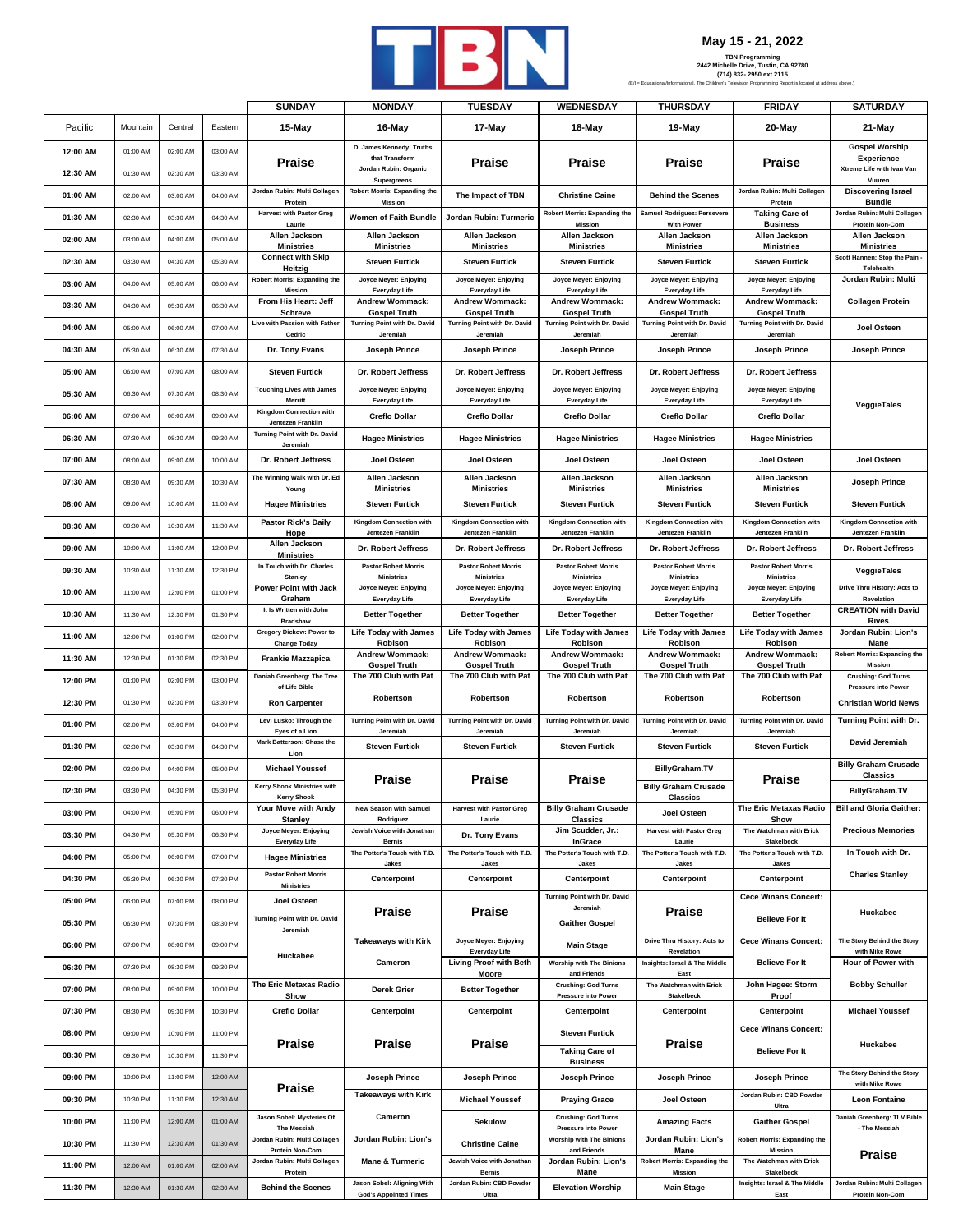

## **May 15 - 21, 2022**

|          |          |          |          | <b>SUNDAY</b>                                             | <b>MONDAY</b>                                              | <b>TUESDAY</b>                                   | <b>WEDNESDAY</b>                                  | <b>THURSDAY</b>                                  | <b>FRIDAY</b>                                         | <b>SATURDAY</b>                                              |
|----------|----------|----------|----------|-----------------------------------------------------------|------------------------------------------------------------|--------------------------------------------------|---------------------------------------------------|--------------------------------------------------|-------------------------------------------------------|--------------------------------------------------------------|
| Pacific  | Mountain | Central  | Eastern  | 15-May                                                    | 16-May                                                     | 17-May                                           | 18-May                                            | 19-May                                           | 20-May                                                | 21-May                                                       |
| 12:00 AM | 01:00 AM | 02:00 AM | 03:00 AM |                                                           | D. James Kennedy: Truths<br>that Transform                 |                                                  |                                                   |                                                  |                                                       | <b>Gospel Worship</b><br><b>Experience</b>                   |
| 12:30 AM | 01:30 AM | 02:30 AM | 03:30 AM | Praise                                                    | Jordan Rubin: Organic<br>Supergreens                       | Praise                                           | <b>Praise</b>                                     | Praise                                           | Praise                                                | Xtreme Life with Ivan Van<br>Vuuren                          |
| 01:00 AM | 02:00 AM | 03:00 AM | 04:00 AM | Jordan Rubin: Multi Collagen<br>Protein                   | <b>Robert Morris: Expanding the</b><br>Mission             | The Impact of TBN                                | <b>Christine Caine</b>                            | <b>Behind the Scenes</b>                         | Jordan Rubin: Multi Collagen<br>Protein               | <b>Discovering Israel</b><br><b>Bundle</b>                   |
| 01:30 AM | 02:30 AM | 03:30 AM | 04:30 AM | <b>Harvest with Pastor Greg</b><br>Laurie                 | Women of Faith Bundle                                      | Jordan Rubin: Turmeric                           | Robert Morris: Expanding the<br>Mission           | Samuel Rodriguez: Persevere<br><b>With Power</b> | <b>Taking Care of</b><br><b>Business</b>              | Jordan Rubin: Multi Collager<br><b>Protein Non-Com</b>       |
| 02:00 AM | 03:00 AM | 04:00 AM | 05:00 AM | Allen Jackson<br><b>Ministries</b>                        | Allen Jackson<br><b>Ministries</b>                         | Allen Jackson<br><b>Ministries</b>               | Allen Jackson<br><b>Ministries</b>                | Allen Jackson<br><b>Ministries</b>               | Allen Jackson<br><b>Ministries</b>                    | Allen Jackson<br><b>Ministries</b>                           |
| 02:30 AM | 03:30 AM | 04:30 AM | 05:30 AM | <b>Connect with Skip</b>                                  | <b>Steven Furtick</b>                                      | <b>Steven Furtick</b>                            | <b>Steven Furtick</b>                             | <b>Steven Furtick</b>                            | <b>Steven Furtick</b>                                 | Scott Hannen: Stop the Pain<br>Telehealth                    |
| 03:00 AM | 04:00 AM | 05:00 AM | 06:00 AM | Heitzig<br><b>Robert Morris: Expanding the</b><br>Mission | Joyce Meyer: Enjoying<br><b>Everyday Life</b>              | Joyce Meyer: Enjoying<br>Everyday Life           | Joyce Meyer: Enjoying<br>Everyday Life            | Joyce Meyer: Enjoying<br><b>Everyday Life</b>    | Joyce Meyer: Enjoying<br>Everyday Life                | Jordan Rubin: Multi                                          |
| 03:30 AM | 04:30 AM | 05:30 AM | 06:30 AM | From His Heart: Jeff<br>Schreve                           | Andrew Wommack:<br><b>Gospel Truth</b>                     | Andrew Wommack:<br><b>Gospel Truth</b>           | Andrew Wommack:<br><b>Gospel Truth</b>            | <b>Andrew Wommack:</b><br><b>Gospel Truth</b>    | <b>Andrew Wommack:</b><br><b>Gospel Truth</b>         | <b>Collagen Protein</b>                                      |
| 04:00 AM | 05:00 AM | 06:00 AM | 07:00 AM | Live with Passion with Father                             | Turning Point with Dr. David                               | Turning Point with Dr. David                     | Turning Point with Dr. David                      | Turning Point with Dr. David                     | Turning Point with Dr. David                          | Joel Osteen                                                  |
| 04:30 AM | 05:30 AM | 06:30 AM | 07:30 AM | Cedric<br>Dr. Tony Evans                                  | Jeremiah<br>Joseph Prince                                  | Jeremiah<br>Joseph Prince                        | Jeremiah<br>Joseph Prince                         | Jeremiah<br>Joseph Prince                        | Jeremiah<br>Joseph Prince                             | Joseph Prince                                                |
| 05:00 AM | 06:00 AM | 07:00 AM | 08:00 AM | <b>Steven Furtick</b>                                     | Dr. Robert Jeffress                                        | Dr. Robert Jeffress                              | Dr. Robert Jeffress                               | Dr. Robert Jeffress                              | Dr. Robert Jeffress                                   |                                                              |
| 05:30 AM | 06:30 AM | 07:30 AM | 08:30 AM | <b>Touching Lives with James</b>                          | Joyce Meyer: Enjoying                                      | Joyce Meyer: Enjoying                            | Joyce Meyer: Enjoying                             | Joyce Meyer: Enjoying                            | Joyce Meyer: Enjoying                                 |                                                              |
| 06:00 AM | 07:00 AM | 08:00 AM | 09:00 AM | Merritt<br><b>Kingdom Connection with</b>                 | Everyday Life<br><b>Creflo Dollar</b>                      | Everyday Life<br><b>Creflo Dollar</b>            | Everyday Life<br><b>Creflo Dollar</b>             | <b>Everyday Life</b><br><b>Creflo Dollar</b>     | Everyday Life<br><b>Creflo Dollar</b>                 | VeggieTales                                                  |
| 06:30 AM | 07:30 AM | 08:30 AM | 09:30 AM | Jentezen Franklin<br>Turning Point with Dr. David         | <b>Hagee Ministries</b>                                    | <b>Hagee Ministries</b>                          | <b>Hagee Ministries</b>                           | <b>Hagee Ministries</b>                          | <b>Hagee Ministries</b>                               |                                                              |
| 07:00 AM | 08:00 AM | 09:00 AM | 10:00 AM | Jeremiah<br>Dr. Robert Jeffress                           | Joel Osteen                                                | Joel Osteen                                      | Joel Osteen                                       | Joel Osteen                                      | Joel Osteen                                           | Joel Osteen                                                  |
| 07:30 AM | 08:30 AM | 09:30 AM | 10:30 AM | The Winning Walk with Dr. Ed                              | Allen Jackson<br><b>Ministries</b>                         | Allen Jackson                                    | Allen Jackson<br><b>Ministries</b>                | Allen Jackson<br><b>Ministries</b>               | Allen Jackson<br><b>Ministries</b>                    | <b>Joseph Prince</b>                                         |
| 08:00 AM | 09:00 AM | 10:00 AM | 11:00 AM | Young<br><b>Hagee Ministries</b>                          | <b>Steven Furtick</b>                                      | <b>Ministries</b><br><b>Steven Furtick</b>       | <b>Steven Furtick</b>                             | <b>Steven Furtick</b>                            | <b>Steven Furtick</b>                                 | <b>Steven Furtick</b>                                        |
| 08:30 AM | 09:30 AM | 10:30 AM | 11:30 AM | <b>Pastor Rick's Daily</b>                                | <b>Kingdom Connection with</b>                             | <b>Kingdom Connection with</b>                   | Kingdom Connection with                           | <b>Kingdom Connection with</b>                   | Kingdom Connection with                               | <b>Kingdom Connection with</b>                               |
| 09:00 AM | 10:00 AM | 11:00 AM | 12:00 PM | Hope<br>Allen Jackson<br><b>Ministries</b>                | Jentezen Franklin<br>Dr. Robert Jeffress                   | Jentezen Franklin<br>Dr. Robert Jeffress         | Jentezen Franklin<br>Dr. Robert Jeffress          | Jentezen Franklin<br>Dr. Robert Jeffress         | Jentezen Franklin<br>Dr. Robert Jeffress              | Jentezen Franklin<br>Dr. Robert Jeffress                     |
| 09:30 AM | 10:30 AM | 11:30 AM | 12:30 PM | In Touch with Dr. Charles<br>Stanley                      | <b>Pastor Robert Morris</b><br><b>Ministries</b>           | <b>Pastor Robert Morris</b><br><b>Ministries</b> | <b>Pastor Robert Morris</b><br><b>Ministries</b>  | <b>Pastor Robert Morris</b><br><b>Ministries</b> | <b>Pastor Robert Morris</b><br><b>Ministries</b>      | VeggieTales                                                  |
| 10:00 AM | 11:00 AM | 12:00 PM | 01:00 PM | Power Point with Jack<br>Graham                           | Joyce Meyer: Enjoying                                      | Joyce Meyer: Enjoying<br>Everyday Life           | Joyce Meyer: Enjoying<br>Everyday Life            | Joyce Meyer: Enjoying<br><b>Everyday Life</b>    | Joyce Meyer: Enjoying<br>Everyday Life                | Drive Thru History: Acts to<br>Revelation                    |
| 10:30 AM | 11:30 AM | 12:30 PM | 01:30 PM | It Is Written with John<br><b>Bradshaw</b>                | Everyday Life<br><b>Better Together</b>                    | <b>Better Together</b>                           | <b>Better Together</b>                            | <b>Better Together</b>                           | <b>Better Together</b>                                | <b>CREATION with David</b><br>Rives                          |
| 11:00 AM | 12:00 PM | 01:00 PM | 02:00 PM | Gregory Dickow: Power to                                  | <b>Life Today with James</b><br>Robison                    | <b>Life Today with James</b><br>Robison          | <b>Life Today with James</b><br>Robison           | <b>Life Today with James</b><br>Robison          | <b>Life Today with James</b><br>Robison               | Jordan Rubin: Lion's<br>Mane                                 |
| 11:30 AM | 12:30 PM | 01:30 PM | 02:30 PM | <b>Change Today</b><br><b>Frankie Mazzapica</b>           | <b>Andrew Wommack:</b><br><b>Gospel Truth</b>              | Andrew Wommack:                                  | <b>Andrew Wommack:</b>                            | Andrew Wommack:                                  | <b>Andrew Wommack:</b>                                | <b>Robert Morris: Expanding the</b>                          |
| 12:00 PM | 01:00 PM | 02:00 PM | 03:00 PM | Daniah Greenberg: The Tree<br>of Life Bible               | The 700 Club with Pat                                      | <b>Gospel Truth</b><br>The 700 Club with Pat     | <b>Gospel Truth</b><br>The 700 Club with Pat      | <b>Gospel Truth</b><br>The 700 Club with Pat     | <b>Gospel Truth</b><br>The 700 Club with Pat          | Mission<br><b>Crushing: God Turns</b><br>Pressure into Power |
| 12:30 PM | 01:30 PM | 02:30 PM | 03:30 PM | <b>Ron Carpenter</b>                                      | Robertson                                                  | Robertson                                        | Robertson                                         | Robertson                                        | Robertson                                             | <b>Christian World News</b>                                  |
| 01:00 PM | 02:00 PM | 03:00 PM | 04:00 PM | Levi Lusko: Through the<br>Eyes of a Lion                 | Turning Point with Dr. David<br>Jeremiah                   | Turning Point with Dr. David<br>Jeremiah         | Turning Point with Dr. David<br>Jeremiah          | Turning Point with Dr. David<br>Jeremiah         | Turning Point with Dr. David<br>Jeremiah              | Turning Point with Dr.                                       |
| 01:30 PM | 02:30 PM | 03:30 PM | 04:30 PM | Mark Batterson: Chase the<br>Lion                         | <b>Steven Furtick</b>                                      | <b>Steven Furtick</b>                            | <b>Steven Furtick</b>                             | <b>Steven Furtick</b>                            | <b>Steven Furtick</b>                                 | David Jeremiah                                               |
| 02:00 PM | 03:00 PM | 04:00 PM | 05:00 PM | <b>Michael Youssef</b>                                    |                                                            |                                                  |                                                   | <b>BillyGraham.TV</b>                            |                                                       | <b>Billy Graham Crusade</b><br><b>Classics</b>               |
| 02:30 PM | 03:30 PM | 04:30 PM | 05:30 PM | Kerry Shook Ministries with<br><b>Kerry Shook</b>         | Praise                                                     | <b>Praise</b>                                    | <b>Praise</b>                                     | <b>Billy Graham Crusade</b><br><b>Classics</b>   | Praise                                                | <b>BillyGraham.TV</b>                                        |
| 03:00 PM | 04:00 PM | 05:00 PM | 06:00 PM | Your Move with Andy<br><b>Stanley</b>                     | New Season with Samuel<br>Rodriguez                        | <b>Harvest with Pastor Greg</b><br>Laurie        | <b>Billy Graham Crusade</b><br>Classics           | Joel Osteen                                      | The Eric Metaxas Radio<br>Show                        | <b>Bill and Gloria Gaither:</b>                              |
| 03:30 PM | 04:30 PM | 05:30 PM | 06:30 PM | Joyce Meyer: Enjoying<br>Everyday Life                    | Jewish Voice with Jonathan<br>Bernis                       | Dr. Tony Evans                                   | Jim Scudder, Jr.:<br><b>InGrace</b>               | <b>Harvest with Pastor Greg</b><br>Laurie        | The Watchman with Erick<br><b>Stakelbeck</b>          | <b>Precious Memories</b>                                     |
| 04:00 PM | 05:00 PM | 06:00 PM | 07:00 PM | <b>Hagee Ministries</b>                                   | The Potter's Touch with T.D.<br>Jakes                      | The Potter's Touch with T.D.<br>Jakes            | The Potter's Touch with T.D.<br>Jakes             | The Potter's Touch with T.D.<br>Jakes            | The Potter's Touch with T.D.<br>Jakes                 | In Touch with Dr.                                            |
| 04:30 PM | 05:30 PM | 06:30 PM | 07:30 PM | <b>Pastor Robert Morris</b><br><b>Ministries</b>          | Centerpoint                                                | Centerpoint                                      | Centerpoint                                       | Centerpoint                                      | Centerpoint                                           | <b>Charles Stanley</b>                                       |
| 05:00 PM | 06:00 PM | 07:00 PM | 08:00 PM | Joel Osteen                                               |                                                            |                                                  | Turning Point with Dr. David<br>Jeremiah          |                                                  | <b>Cece Winans Concert:</b>                           |                                                              |
| 05:30 PM | 06:30 PM | 07:30 PM | 08:30 PM | Turning Point with Dr. David<br>Jeremiah                  | Praise                                                     | Praise                                           | <b>Gaither Gospel</b>                             | Praise                                           | <b>Believe For It</b>                                 | Huckabee                                                     |
| 06:00 PM | 07:00 PM | 08:00 PM | 09:00 PM |                                                           | <b>Takeaways with Kirk</b>                                 | Joyce Meyer: Enjoying<br>Everyday Life           | <b>Main Stage</b>                                 | Drive Thru History: Acts to<br>Revelation        | <b>Cece Winans Concert:</b>                           | The Story Behind the Story<br>with Mike Rowe                 |
| 06:30 PM | 07:30 PM | 08:30 PM | 09:30 PM | Huckabee                                                  | Cameron                                                    | Living Proof with Beth<br>Moore                  | <b>Worship with The Binions</b><br>and Friends    | Insights: Israel & The Middle<br>East            | <b>Believe For It</b>                                 | Hour of Power with                                           |
| 07:00 PM | 08:00 PM | 09:00 PM | 10:00 PM | The Eric Metaxas Radio<br>Show                            | <b>Derek Grier</b>                                         | <b>Better Together</b>                           | <b>Crushing: God Turns</b><br>Pressure into Power | The Watchman with Erick<br>Stakelbeck            | John Hagee: Storm<br>Proof                            | <b>Bobby Schuller</b>                                        |
| 07:30 PM | 08:30 PM | 09:30 PM | 10:30 PM | <b>Creflo Dollar</b>                                      | Centerpoint                                                | Centerpoint                                      | Centerpoint                                       | Centerpoint                                      | Centerpoint                                           | <b>Michael Youssef</b>                                       |
| 08:00 PM | 09:00 PM | 10:00 PM | 11:00 PM |                                                           |                                                            |                                                  | <b>Steven Furtick</b>                             |                                                  | <b>Cece Winans Concert:</b>                           |                                                              |
| 08:30 PM | 09:30 PM | 10:30 PM | 11:30 PM | Praise                                                    | Praise                                                     | Praise                                           | <b>Taking Care of</b><br><b>Business</b>          | Praise                                           | <b>Believe For It</b>                                 | Huckabee                                                     |
| 09:00 PM | 10:00 PM | 11:00 PM | 12:00 AM |                                                           | Joseph Prince                                              | Joseph Prince                                    | Joseph Prince                                     | Joseph Prince                                    | <b>Joseph Prince</b>                                  | The Story Behind the Story<br>with Mike Rowe                 |
| 09:30 PM | 10:30 PM | 11:30 PM | 12:30 AM | Praise                                                    | <b>Takeaways with Kirk</b>                                 | <b>Michael Youssef</b>                           | <b>Praying Grace</b>                              | Joel Osteen                                      | Jordan Rubin: CBD Powder<br>Ultra                     | <b>Leon Fontaine</b>                                         |
| 10:00 PM | 11:00 PM | 12:00 AM | 01:00 AM | Jason Sobel: Mysteries Of<br><b>The Messiah</b>           | Cameron                                                    | Sekulow                                          | <b>Crushing: God Turns</b><br>Pressure into Power | <b>Amazing Facts</b>                             | <b>Gaither Gospel</b>                                 | Daniah Greenberg: TLV Bible<br>- The Messiah                 |
| 10:30 PM | 11:30 PM | 12:30 AM | 01:30 AM | Jordan Rubin: Multi Collagen<br>Protein Non-Com           | Jordan Rubin: Lion's                                       | <b>Christine Caine</b>                           | <b>Worship with The Binions</b><br>and Friends    | Jordan Rubin: Lion's<br>Mane                     | <b>Robert Morris: Expanding the</b><br><b>Mission</b> |                                                              |
| 11:00 PM | 12:00 AM | 01:00 AM | 02:00 AM | Jordan Rubin: Multi Collagen<br>Protein                   | <b>Mane &amp; Turmeric</b>                                 | Jewish Voice with Jonathan<br><b>Bernis</b>      | Jordan Rubin: Lion's<br>Mane                      | <b>Robert Morris: Expanding the</b><br>Mission   | The Watchman with Erick<br><b>Stakelbeck</b>          | Praise                                                       |
| 11:30 PM | 12:30 AM | 01:30 AM | 02:30 AM | <b>Behind the Scenes</b>                                  | Jason Sobel: Aligning With<br><b>God's Appointed Times</b> | Jordan Rubin: CBD Powder<br>Ultra                | <b>Elevation Worship</b>                          | <b>Main Stage</b>                                | Insights: Israel & The Middle<br>East                 | Jordan Rubin: Multi Collagen<br>Protein Non-Com              |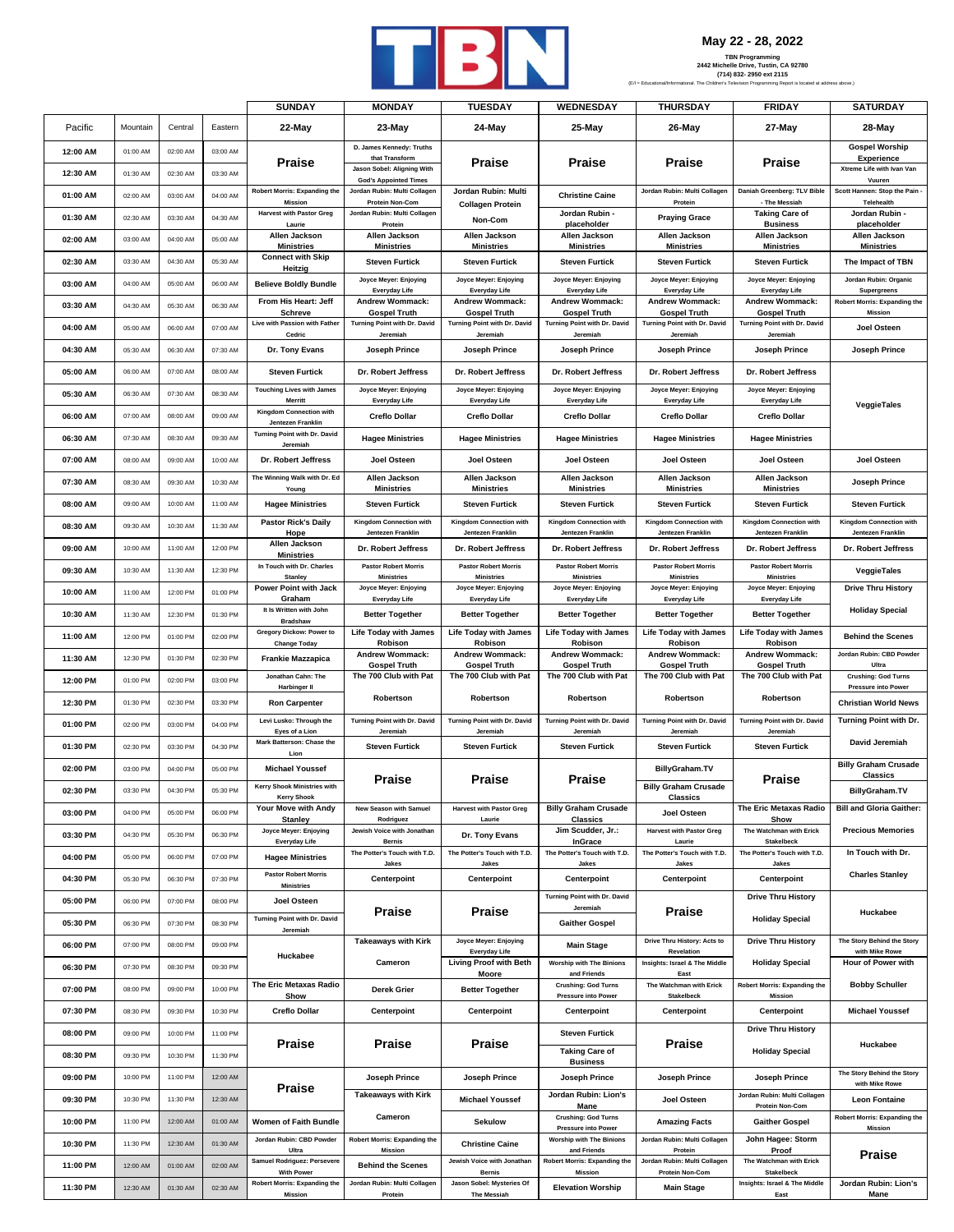

**May 22 - 28, 2022**

|                      |                      |                      |                      | <b>SUNDAY</b>                                            | <b>MONDAY</b>                                              | <b>TUESDAY</b>                                       | WEDNESDAY                                              | <b>THURSDAY</b>                                      | <b>FRIDAY</b>                                    | <b>SATURDAY</b>                                             |
|----------------------|----------------------|----------------------|----------------------|----------------------------------------------------------|------------------------------------------------------------|------------------------------------------------------|--------------------------------------------------------|------------------------------------------------------|--------------------------------------------------|-------------------------------------------------------------|
| Pacific              | Mountain             | Central              | Eastern              | 22-May                                                   | 23-May                                                     | 24-May                                               | 25-May                                                 | 26-May                                               | 27-May                                           | 28-May                                                      |
| 12:00 AM             | 01:00 AM             | 02:00 AM             | 03:00 AM             |                                                          | D. James Kennedy: Truths<br>that Transform                 |                                                      |                                                        |                                                      |                                                  | <b>Gospel Worship</b><br><b>Experience</b>                  |
| 12:30 AM             | 01:30 AM             | 02:30 AM             | 03:30 AM             | <b>Praise</b>                                            | Jason Sobel: Aligning With<br><b>God's Appointed Times</b> | Praise                                               | Praise                                                 | <b>Praise</b>                                        | Praise                                           | Xtreme Life with Ivan Van<br>Vuuren                         |
| 01:00 AM             | 02:00 AM             | 03:00 AM             | 04:00 AM             | Robert Morris: Expanding the<br>Missior                  | Jordan Rubin: Multi Collagen                               | Jordan Rubin: Multi                                  | <b>Christine Caine</b>                                 | Jordan Rubin: Multi Collagen                         | Daniah Greenberg: TLV Bible<br>- The Messiah     | Scott Hannen: Stop the Pain -<br>Telehealth                 |
| 01:30 AM             | 02:30 AM             | 03:30 AM             | 04:30 AM             | <b>Harvest with Pastor Greg</b>                          | Protein Non-Com<br>Jordan Rubin: Multi Collagen            | <b>Collagen Protein</b><br>Non-Com                   | Jordan Rubin -                                         | Protein<br><b>Praying Grace</b>                      | <b>Taking Care of</b>                            | Jordan Rubin -                                              |
| 02:00 AM             | 03:00 AM             | 04:00 AM             | 05:00 AM             | Laurie<br>Allen Jackson                                  | Protein<br>Allen Jackson                                   | Allen Jackson                                        | placeholder<br>Allen Jackson                           | Allen Jackson                                        | <b>Business</b><br>Allen Jackson                 | placeholder<br>Allen Jackson                                |
| 02:30 AM             | 03:30 AM             | 04:30 AM             | 05:30 AM             | Ministries<br><b>Connect with Skip</b>                   | <b>Ministries</b><br><b>Steven Furtick</b>                 | <b>Ministries</b><br><b>Steven Furtick</b>           | <b>Ministries</b><br><b>Steven Furtick</b>             | <b>Ministries</b><br><b>Steven Furtick</b>           | <b>Ministries</b><br><b>Steven Furtick</b>       | <b>Ministries</b><br>The Impact of TBN                      |
|                      |                      |                      |                      | Heitzig                                                  | Joyce Meyer: Enjoying                                      | Joyce Meyer: Enjoying                                | Joyce Meyer: Enjoying                                  | Joyce Meyer: Enjoying                                | Joyce Meyer: Enjoying                            | Jordan Rubin: Organic                                       |
| 03:00 AM             | 04:00 AM             | 05:00 AM             | 06:00 AM             | <b>Believe Boldly Bundle</b><br>From His Heart: Jeff     | Everyday Life<br><b>Andrew Wommack:</b>                    | <b>Everyday Life</b><br>Andrew Wommack:              | <b>Everyday Life</b><br>Andrew Wommack:                | Everyday Life<br><b>Andrew Wommack:</b>              | <b>Everyday Life</b><br><b>Andrew Wommack:</b>   | Supergreens<br><b>Robert Morris: Expanding the</b>          |
| 03:30 AM             | 04:30 AM             | 05:30 AM             | 06:30 AM             | <b>Schreve</b>                                           | <b>Gospel Truth</b>                                        | <b>Gospel Truth</b>                                  | <b>Gospel Truth</b>                                    | <b>Gospel Truth</b>                                  | <b>Gospel Truth</b>                              | Mission                                                     |
| 04:00 AM             | 05:00 AM             | 06:00 AM             | 07:00 AM             | Live with Passion with Father<br>Cedric                  | Turning Point with Dr. David<br>Jeremiah                   | Turning Point with Dr. David<br>Jeremiah             | Turning Point with Dr. David<br>Jeremiah               | Turning Point with Dr. David<br>Jeremiah             | Turning Point with Dr. David<br>Jeremiah         | Joel Osteen                                                 |
| 04:30 AM             | 05:30 AM             | 06:30 AM             | 07:30 AM             | Dr. Tony Evans                                           | Joseph Prince                                              | Joseph Prince                                        | Joseph Prince                                          | Joseph Prince                                        | <b>Joseph Prince</b>                             | Joseph Prince                                               |
| 05:00 AM             | 06:00 AM             | 07:00 AM             | 08:00 AM             | <b>Steven Furtick</b>                                    | Dr. Robert Jeffress                                        | Dr. Robert Jeffress                                  | Dr. Robert Jeffress                                    | Dr. Robert Jeffress                                  | Dr. Robert Jeffress                              |                                                             |
| 05:30 AM             | 06:30 AM             | 07:30 AM             | 08:30 AM             | <b>Touching Lives with James</b><br>Merritt              | Joyce Meyer: Enjoying<br>Everyday Life                     | Joyce Meyer: Enjoying<br>Everyday Life               | Joyce Meyer: Enjoying<br>Everyday Life                 | Joyce Meyer: Enjoying<br>Everyday Life               | Joyce Meyer: Enjoying<br><b>Everyday Life</b>    | VeggieTales                                                 |
| 06:00 AM             | 07:00 AM             | 08:00 AM             | 09:00 AM             | <b>Kingdom Connection with</b><br>Jentezen Franklin      | <b>Creflo Dollar</b>                                       | <b>Creflo Dollar</b>                                 | <b>Creflo Dollar</b>                                   | <b>Creflo Dollar</b>                                 | <b>Creflo Dollar</b>                             |                                                             |
| 06:30 AM             | 07:30 AM             | 08:30 AM             | 09:30 AM             | Turning Point with Dr. David<br>Jeremiah                 | <b>Hagee Ministries</b>                                    | <b>Hagee Ministries</b>                              | <b>Hagee Ministries</b>                                | <b>Hagee Ministries</b>                              | <b>Hagee Ministries</b>                          |                                                             |
| 07:00 AM             | 08:00 AM             | 09:00 AM             | 10:00 AM             | Dr. Robert Jeffress                                      | Joel Osteen                                                | Joel Osteen                                          | Joel Osteen                                            | Joel Osteen                                          | Joel Osteen                                      | Joel Osteen                                                 |
| 07:30 AM             | 08:30 AM             | 09:30 AM             | 10:30 AM             | The Winning Walk with Dr. Ed                             | Allen Jackson<br><b>Ministries</b>                         | Allen Jackson<br><b>Ministries</b>                   | Allen Jackson<br><b>Ministries</b>                     | Allen Jackson<br><b>Ministries</b>                   | Allen Jackson<br><b>Ministries</b>               | Joseph Prince                                               |
| 08:00 AM             | 09:00 AM             | 10:00 AM             | 11:00 AM             | Young<br><b>Hagee Ministries</b>                         | <b>Steven Furtick</b>                                      | <b>Steven Furtick</b>                                | <b>Steven Furtick</b>                                  | <b>Steven Furtick</b>                                | <b>Steven Furtick</b>                            | <b>Steven Furtick</b>                                       |
| 08:30 AM             | 09:30 AM             | 10:30 AM             | 11:30 AM             | <b>Pastor Rick's Daily</b><br>Hope                       | <b>Kingdom Connection with</b><br>Jentezen Franklin        | <b>Kingdom Connection with</b><br>Jentezen Franklin  | <b>Kingdom Connection with</b><br>Jentezen Franklin    | Kingdom Connection with<br>Jentezen Franklin         | Kingdom Connection with<br>Jentezen Franklin     | Kingdom Connection with<br>Jentezen Franklin                |
| 09:00 AM             | 10:00 AM             | 11:00 AM             | 12:00 PM             | Allen Jackson<br><b>Ministries</b>                       | Dr. Robert Jeffress                                        | Dr. Robert Jeffress                                  | Dr. Robert Jeffress                                    | Dr. Robert Jeffress                                  | Dr. Robert Jeffress                              | Dr. Robert Jeffress                                         |
| 09:30 AM             | 10:30 AM             | 11:30 AM             | 12:30 PM             | In Touch with Dr. Charles<br><b>Stanley</b>              | <b>Pastor Robert Morris</b><br><b>Ministries</b>           | <b>Pastor Robert Morris</b><br><b>Ministries</b>     | <b>Pastor Robert Morris</b><br><b>Ministries</b>       | <b>Pastor Robert Morris</b><br><b>Ministries</b>     | <b>Pastor Robert Morris</b><br><b>Ministries</b> | VeggieTales                                                 |
| 10:00 AM             | 11:00 AM             | 12:00 PM             | 01:00 PM             | Power Point with Jack<br>Graham                          | Joyce Meyer: Enjoying<br>Everyday Life                     | Joyce Meyer: Enjoying<br>Everyday Life               | Joyce Meyer: Enjoying<br><b>Everyday Life</b>          | Joyce Meyer: Enjoying<br>Everyday Life               | Joyce Meyer: Enjoying<br><b>Everyday Life</b>    | <b>Drive Thru History</b>                                   |
| 10:30 AM             | 11:30 AM             | 12:30 PM             | 01:30 PM             | It Is Written with John<br><b>Bradshaw</b>               | <b>Better Together</b>                                     | <b>Better Together</b>                               | <b>Better Together</b>                                 | <b>Better Together</b>                               | <b>Better Together</b>                           | <b>Holiday Special</b>                                      |
| 11:00 AM             | 12:00 PM             | 01:00 PM             | 02:00 PM             | Gregory Dickow: Power to<br><b>Change Today</b>          | <b>Life Today with James</b><br>Robison                    | <b>Life Today with James</b><br>Robison              | <b>Life Today with James</b><br>Robison                | <b>Life Today with James</b><br>Robison              | <b>Life Today with James</b><br>Robison          | <b>Behind the Scenes</b>                                    |
| 11:30 AM             | 12:30 PM             | 01:30 PM             | 02:30 PM             | <b>Frankie Mazzapica</b>                                 | <b>Andrew Wommack:</b><br><b>Gospel Truth</b>              | <b>Andrew Wommack:</b><br><b>Gospel Truth</b>        | <b>Andrew Wommack:</b><br><b>Gospel Truth</b>          | <b>Andrew Wommack:</b><br><b>Gospel Truth</b>        | <b>Andrew Wommack:</b><br><b>Gospel Truth</b>    | Jordan Rubin: CBD Powder<br>Ultra                           |
| 12:00 PM             | 01:00 PM             | 02:00 PM             | 03:00 PM             | Jonathan Cahn: The<br><b>Harbinger II</b>                | The 700 Club with Pat                                      | The 700 Club with Pat                                | The 700 Club with Pat                                  | The 700 Club with Pat                                | The 700 Club with Pat                            | <b>Crushing: God Turns</b><br>Pressure into Power           |
| 12:30 PM             | 01:30 PM             | 02:30 PM             | 03:30 PM             | <b>Ron Carpenter</b>                                     | Robertson                                                  | Robertson                                            | Robertson                                              | Robertson                                            | Robertson                                        | <b>Christian World News</b>                                 |
| 01:00 PM             | 02:00 PM             | 03:00 PM             | 04:00 PM             | Levi Lusko: Through the<br>Eyes of a Lion                | Turning Point with Dr. David<br>Jeremiah                   | Turning Point with Dr. David<br>Jeremiah             | Turning Point with Dr. David<br>Jeremiah               | Turning Point with Dr. David<br>Jeremiah             | Turning Point with Dr. David<br>Jeremiah         | Turning Point with Dr.                                      |
| 01:30 PM             | 02:30 PM             | 03:30 PM             | 04:30 PM             | Mark Batterson: Chase the<br>Lion                        | <b>Steven Furtick</b>                                      | <b>Steven Furtick</b>                                | <b>Steven Furtick</b>                                  | <b>Steven Furtick</b>                                | <b>Steven Furtick</b>                            | David Jeremiah                                              |
| 02:00 PM             | 03:00 PM             | 04:00 PM             | 05:00 PM             | <b>Michael Youssef</b>                                   | Praise                                                     | Praise                                               | Praise                                                 | BillyGraham.TV                                       | Praise                                           | <b>Billy Graham Crusade</b><br>Classics                     |
| 02:30 PM             | 03:30 PM             | 04:30 PM             | 05:30 PM             | <b>Kerry Shook Ministries with</b><br><b>Kerry Shook</b> |                                                            |                                                      |                                                        | <b>Billy Graham Crusade</b><br>Classics              |                                                  | <b>BillyGraham.TV</b>                                       |
| 03:00 PM             | 04:00 PM             | 05:00 PM             | 06:00 PM             | Your Move with Andy<br><b>Stanley</b>                    | <b>New Season with Samuel</b><br>Rodriguez                 | <b>Harvest with Pastor Greg</b><br>Laurie            | <b>Billy Graham Crusade</b><br><b>Classics</b>         | Joel Osteen                                          | The Eric Metaxas Radio<br>Show                   | <b>Bill and Gloria Gaither:</b>                             |
| 03:30 PM             | 04:30 PM             | 05:30 PM             | 06:30 PM             | Joyce Meyer: Enjoying<br>Everyday Life                   | Jewish Voice with Jonathan<br><b>Bernis</b>                | Dr. Tony Evans                                       | Jim Scudder, Jr.:<br>InGrace                           | <b>Harvest with Pastor Greg</b><br>Laurie            | The Watchman with Erick<br>Stakelbeck            | <b>Precious Memories</b>                                    |
| 04:00 PM             | 05:00 PM             | 06:00 PM             | 07:00 PM             | <b>Hagee Ministries</b>                                  | The Potter's Touch with T.D.                               | The Potter's Touch with T.D.                         | The Potter's Touch with T.D.                           | The Potter's Touch with T.D.                         | The Potter's Touch with T.D.                     | In Touch with Dr.                                           |
| 04:30 PM             | 05:30 PM             | 06:30 PM             | 07:30 PM             | <b>Pastor Robert Morris</b>                              | Jakes<br>Centerpoint                                       | Jakes<br>Centerpoint                                 | Jakes<br>Centerpoint                                   | Jakes<br>Centerpoint                                 | Jakes<br>Centerpoint                             | <b>Charles Stanley</b>                                      |
| 05:00 PM             | 06:00 PM             | 07:00 PM             | 08:00 PM             | <b>Ministries</b><br>Joel Osteen                         |                                                            |                                                      | Turning Point with Dr. David                           |                                                      | <b>Drive Thru History</b>                        |                                                             |
| 05:30 PM             | 06:30 PM             | 07:30 PM             | 08:30 PM             | Turning Point with Dr. David                             | Praise                                                     | Praise                                               | Jeremiah<br><b>Gaither Gospel</b>                      | <b>Praise</b>                                        | <b>Holiday Special</b>                           | Huckabee                                                    |
| 06:00 PM             | 07:00 PM             | 08:00 PM             | 09:00 PM             | Jeremiah                                                 | <b>Takeaways with Kirk</b>                                 | Joyce Meyer: Enjoying                                | <b>Main Stage</b>                                      | Drive Thru History: Acts to                          | <b>Drive Thru History</b>                        | The Story Behind the Story                                  |
| 06:30 PM             | 07:30 PM             | 08:30 PM             | 09:30 PM             | Huckabee                                                 | Cameron                                                    | Everyday Life<br>Living Proof with Beth              | <b>Worship with The Binions</b>                        | Revelation<br>Insights: Israel & The Middle          | <b>Holiday Special</b>                           | with Mike Rowe<br>Hour of Power with                        |
| 07:00 PM             | 08:00 PM             | 09:00 PM             | 10:00 PM             | The Eric Metaxas Radio                                   | <b>Derek Grier</b>                                         | Moore<br><b>Better Together</b>                      | and Friends<br><b>Crushing: God Turns</b>              | East<br>The Watchman with Erick                      | <b>Robert Morris: Expanding the</b>              | <b>Bobby Schuller</b>                                       |
| 07:30 PM             | 08:30 PM             | 09:30 PM             | 10:30 PM             | Show<br><b>Creflo Dollar</b>                             | Centerpoint                                                | Centerpoint                                          | Pressure into Power<br>Centerpoint                     | Stakelbeck<br>Centerpoint                            | Mission<br>Centerpoint                           | <b>Michael Youssef</b>                                      |
|                      |                      |                      |                      |                                                          |                                                            |                                                      |                                                        |                                                      | <b>Drive Thru History</b>                        |                                                             |
| 08:00 PM             | 09:00 PM             | 10:00 PM             | 11:00 PM             | <b>Praise</b>                                            | Praise                                                     | Praise                                               | <b>Steven Furtick</b><br><b>Taking Care of</b>         | Praise                                               | <b>Holiday Special</b>                           | Huckabee                                                    |
| 08:30 PM<br>09:00 PM | 09:30 PM<br>10:00 PM | 10:30 PM<br>11:00 PM | 11:30 PM<br>12:00 AM |                                                          |                                                            |                                                      | <b>Business</b>                                        |                                                      |                                                  | The Story Behind the Story                                  |
|                      |                      |                      |                      | <b>Praise</b>                                            | Joseph Prince<br><b>Takeaways with Kirk</b>                | Joseph Prince                                        | Joseph Prince<br>Jordan Rubin: Lion's                  | Joseph Prince                                        | Joseph Prince<br>Jordan Rubin: Multi Collagen    | with Mike Rowe                                              |
| 09:30 PM<br>10:00 PM | 10:30 PM<br>11:00 PM | 11:30 PM<br>12:00 AM | 12:30 AM<br>01:00 AM | Women of Faith Bundle                                    | Cameron                                                    | <b>Michael Youssef</b>                               | Mane<br><b>Crushing: God Turns</b>                     | Joel Osteen                                          | Protein Non-Com                                  | <b>Leon Fontaine</b><br><b>Robert Morris: Expanding the</b> |
|                      |                      |                      |                      | Jordan Rubin: CBD Powder                                 | <b>Robert Morris: Expanding the</b>                        | <b>Sekulow</b>                                       | Pressure into Power<br><b>Worship with The Binions</b> | <b>Amazing Facts</b><br>Jordan Rubin: Multi Collagen | <b>Gaither Gospel</b><br>John Hagee: Storm       | Mission                                                     |
| 10:30 PM             | 11:30 PM             | 12:30 AM             | 01:30 AM             | Ultra<br>Samuel Rodriguez: Persevere                     | Mission                                                    | <b>Christine Caine</b><br>Jewish Voice with Jonathan | and Friends<br><b>Robert Morris: Expanding the</b>     | Protein<br>Jordan Rubin: Multi Collagen              | Proof<br>The Watchman with Erick                 | <b>Praise</b>                                               |
| 11:00 PM             | 12:00 AM             | 01:00 AM             | 02:00 AM             | <b>With Power</b><br>Robert Morris: Expanding the        | <b>Behind the Scenes</b><br>Jordan Rubin: Multi Collagen   | <b>Bernis</b><br>Jason Sobel: Mysteries Of           | Mission                                                | <b>Protein Non-Com</b>                               | Stakelbeck<br>Insights: Israel & The Middle      | Jordan Rubin: Lion's                                        |
| 11:30 PM             | 12:30 AM             | 01:30 AM             | 02:30 AM             | <b>Mission</b>                                           | Protein                                                    | <b>The Messiah</b>                                   | <b>Elevation Worship</b>                               | <b>Main Stage</b>                                    | East                                             | Mane                                                        |